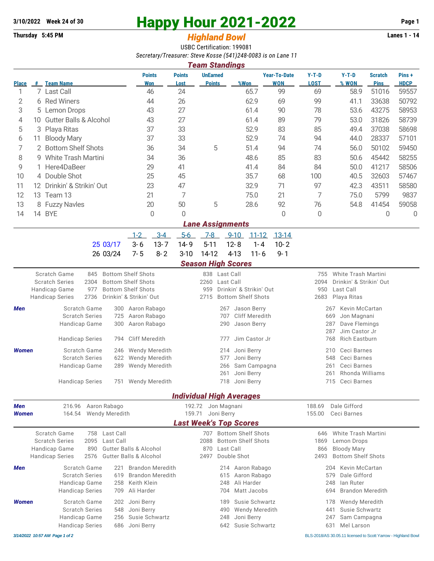## **3/10/2022** Week 24 of 30 **Happy Hour 2021-2022** Page 1<br> **Happy Hour 2021-2022** Page 1<br> **Highland Rowl**

## **Thursday 5:45 PM Highland Bowl**

USBC Certification: 199081 *Secretary/Treasurer: Steve Kosse (541)248-0083 is on Lane 11*

|                         | <b>Team Standings</b> |                                   |                      |                       |                                  |      |                                   |                        |                  |                               |                      |  |
|-------------------------|-----------------------|-----------------------------------|----------------------|-----------------------|----------------------------------|------|-----------------------------------|------------------------|------------------|-------------------------------|----------------------|--|
| <b>Place</b>            | #                     | <b>Team Name</b>                  | <b>Points</b><br>Won | <b>Points</b><br>Lost | <b>UnEarned</b><br><b>Points</b> | %Won | <b>Year-To-Date</b><br><b>WON</b> | $Y-T-D$<br><b>LOST</b> | $Y-T-D$<br>% WON | <b>Scratch</b><br><b>Pins</b> | Pins+<br><b>HDCP</b> |  |
|                         |                       | 7 Last Call                       | 46                   | 24                    |                                  | 65.7 | 99                                | 69                     | 58.9             | 51016                         | 59557                |  |
| 2                       | 6                     | <b>Red Winers</b>                 | 44                   | 26                    |                                  | 62.9 | 69                                | 99                     | 41.1             | 33638                         | 50792                |  |
| 3                       |                       | 5 Lemon Drops                     | 43                   | 27                    |                                  | 61.4 | 90                                | 78                     | 53.6             | 43275                         | 58953                |  |
| 4                       | 10                    | <b>Gutter Balls &amp; Alcohol</b> | 43                   | 27                    |                                  | 61.4 | 89                                | 79                     | 53.0             | 31826                         | 58739                |  |
| 5                       |                       | 3 Playa Ritas                     | 37                   | 33                    |                                  | 52.9 | 83                                | 85                     | 49.4             | 37038                         | 58698                |  |
| 6                       | 11.                   | <b>Bloody Mary</b>                | 37                   | 33                    |                                  | 52.9 | 74                                | 94                     | 44.0             | 28337                         | 57101                |  |
|                         |                       | 2 Bottom Shelf Shots              | 36                   | 34                    | 5                                | 51.4 | 94                                | 74                     | 56.0             | 50102                         | 59450                |  |
| 8                       | 9                     | White Trash Martini               | 34                   | 36                    |                                  | 48.6 | 85                                | 83                     | 50.6             | 45442                         | 58255                |  |
| 9                       |                       | 1 Here4DaBeer                     | 29                   | 41                    |                                  | 41.4 | 84                                | 84                     | 50.0             | 41217                         | 58506                |  |
| 10                      |                       | 4 Double Shot                     | 25                   | 45                    |                                  | 35.7 | 68                                | 100                    | 40.5             | 32603                         | 57467                |  |
| 11                      | 12.                   | Drinkin' & Strikin' Out           | 23                   | 47                    |                                  | 32.9 | 71                                | 97                     | 42.3             | 43511                         | 58580                |  |
| 12                      | 13.                   | Team 13                           | 21                   | 7                     |                                  | 75.0 | 21                                | 7                      | 75.0             | 5799                          | 9837                 |  |
| 13                      |                       | 8 Fuzzy Navles                    | 20                   | 50                    | 5                                | 28.6 | 92                                | 76                     | 54.8             | 41454                         | 59058                |  |
| 14                      | 14                    | <b>BYE</b>                        | 0                    | $\Omega$              |                                  |      | 0                                 | 0                      |                  | 0                             | O                    |  |
| <b>Lane Assignments</b> |                       |                                   |                      |                       |                                  |      |                                   |                        |                  |                               |                      |  |

|                                           |  |  | <u>1-2 3-4 5-6 7-8 9-10 11-12 13-14</u> |  |
|-------------------------------------------|--|--|-----------------------------------------|--|
| 25 03/17 3-6 13-7 14-9 5-11 12-8 1-4 10-2 |  |  |                                         |  |
| 26 03/24 7-5 8-2 3-10 14-12 4-13 11-6 9-1 |  |  |                                         |  |

## *Season High Scores*

|                                                                  |                                                                                         |                                                                                                                              | ucusun miyn ucurcs                                                                                               |                                                                                                                            |
|------------------------------------------------------------------|-----------------------------------------------------------------------------------------|------------------------------------------------------------------------------------------------------------------------------|------------------------------------------------------------------------------------------------------------------|----------------------------------------------------------------------------------------------------------------------------|
| <b>Scratch Series</b><br>Handicap Game<br><b>Handicap Series</b> | Scratch Game<br>845<br>2304<br>977<br>2736                                              | <b>Bottom Shelf Shots</b><br><b>Bottom Shelf Shots</b><br><b>Bottom Shelf Shots</b><br>Drinkin' & Strikin' Out               | 838 Last Call<br>2260<br>Last Call<br>Drinkin' & Strikin' Out<br>959<br><b>Bottom Shelf Shots</b><br>2715        | <b>White Trash Martini</b><br>755<br>Drinkin' & Strikin' Out<br>2094<br>Last Call<br>950<br>2683<br>Playa Ritas            |
| <b>Men</b>                                                       | Scratch Game<br><b>Scratch Series</b><br><b>Handicap Game</b><br><b>Handicap Series</b> | Aaron Rabago<br>300<br>Aaron Rabago<br>725<br>Aaron Rabago<br>300<br>Cliff Meredith<br>794                                   | Jason Berry<br>267<br>Cliff Meredith<br>707<br>Jason Berry<br>290<br>Jim Castor Jr<br>777                        | Kevin McCartan<br>267<br>669<br>Jon Magnani<br>Dave Flemings<br>287<br>Jim Castor Jr<br>287<br><b>Rich Eastburn</b><br>768 |
| <b>Women</b>                                                     | Scratch Game<br><b>Scratch Series</b><br>Handicap Game<br><b>Handicap Series</b>        | <b>Wendy Meredith</b><br>246<br>622<br><b>Wendy Meredith</b><br><b>Wendy Meredith</b><br>289<br><b>Wendy Meredith</b><br>751 | Joni Berry<br>214<br>Joni Berry<br>577<br>Sam Campagna<br>266<br>Joni Berry<br>261<br>Joni Berry<br>718          | Ceci Barnes<br>210<br>Ceci Barnes<br>548<br>Ceci Barnes<br>261<br>Rhonda Williams<br>261<br>715<br>Ceci Barnes             |
|                                                                  |                                                                                         |                                                                                                                              | <b>Individual High Averages</b>                                                                                  |                                                                                                                            |
| <b>Men</b><br><b>Women</b>                                       | 216.96<br>164.54                                                                        | Aaron Rabago<br><b>Wendy Meredith</b>                                                                                        | Jon Magnani<br>192.72<br>159.71<br>Joni Berry<br><b>Last Week's Top Scores</b>                                   | Dale Gifford<br>188.69<br>155.00<br>Ceci Barnes                                                                            |
| <b>Scratch Series</b><br>Handicap Game<br><b>Handicap Series</b> | Scratch Game<br>758<br>2095<br>890<br>2576                                              | Last Call<br>Last Call<br><b>Gutter Balls &amp; Alcohol</b><br><b>Gutter Balls &amp; Alcohol</b>                             | <b>Bottom Shelf Shots</b><br>707<br>2088<br><b>Bottom Shelf Shots</b><br>Last Call<br>870<br>Double Shot<br>2497 | White Trash Martini<br>646<br>1869<br>Lemon Drops<br><b>Bloody Mary</b><br>866<br><b>Bottom Shelf Shots</b><br>2493        |
| <b>Men</b>                                                       | Scratch Game<br><b>Scratch Series</b><br>Handicap Game<br><b>Handicap Series</b>        | <b>Brandon Meredith</b><br>221<br><b>Brandon Meredith</b><br>619<br>Keith Klein<br>258<br>Ali Harder<br>709                  | Aaron Rabago<br>214<br>Aaron Rabago<br>615<br>Ali Harder<br>248<br>Matt Jacobs<br>704                            | Kevin McCartan<br>204<br>Dale Gifford<br>579<br>lan Ruter<br>248<br><b>Brandon Meredith</b><br>694                         |
| <b>Women</b>                                                     | Scratch Game<br><b>Scratch Series</b><br>Handicap Game<br><b>Handicap Series</b>        | 202<br>Joni Berry<br>Joni Berry<br>548<br>Susie Schwartz<br>256<br>Joni Berry<br>686                                         | Susie Schwartz<br>189<br><b>Wendy Meredith</b><br>490<br>Joni Berry<br>248<br>Susie Schwartz<br>642              | 178<br><b>Wendy Meredith</b><br>Susie Schwartz<br>441<br>Sam Campagna<br>247<br>Mel Larson<br>631                          |

*3/14/2022 10:57 AM Page 1 of 2* BLS-2018/AS 30.05.11 licensed to Scott Yarrow - Highland Bowl